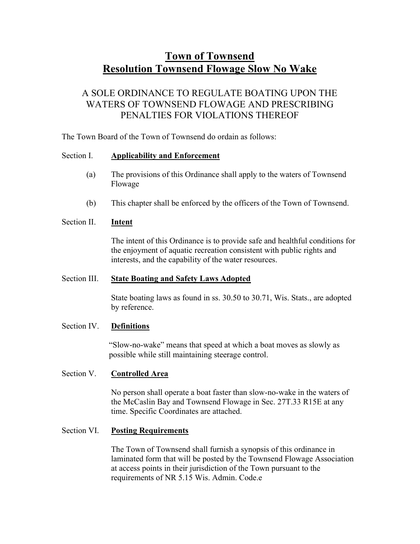# Town of Townsend Resolution Townsend Flowage Slow No Wake

# A SOLE ORDINANCE TO REGULATE BOATING UPON THE WATERS OF TOWNSEND FLOWAGE AND PRESCRIBING PENALTIES FOR VIOLATIONS THEREOF

The Town Board of the Town of Townsend do ordain as follows:

#### Section I. Applicability and Enforcement

- (a) The provisions of this Ordinance shall apply to the waters of Townsend Flowage
- (b) This chapter shall be enforced by the officers of the Town of Townsend.

#### Section II. **Intent**

The intent of this Ordinance is to provide safe and healthful conditions for the enjoyment of aquatic recreation consistent with public rights and interests, and the capability of the water resources.

#### Section III. State Boating and Safety Laws Adopted

State boating laws as found in ss. 30.50 to 30.71, Wis. Stats., are adopted by reference.

# Section IV. Definitions

"Slow-no-wake" means that speed at which a boat moves as slowly as possible while still maintaining steerage control.

# Section V. Controlled Area

No person shall operate a boat faster than slow-no-wake in the waters of the McCaslin Bay and Townsend Flowage in Sec. 27T.33 R15E at any time. Specific Coordinates are attached.

# Section VI. Posting Requirements

The Town of Townsend shall furnish a synopsis of this ordinance in laminated form that will be posted by the Townsend Flowage Association at access points in their jurisdiction of the Town pursuant to the requirements of NR 5.15 Wis. Admin. Code.e